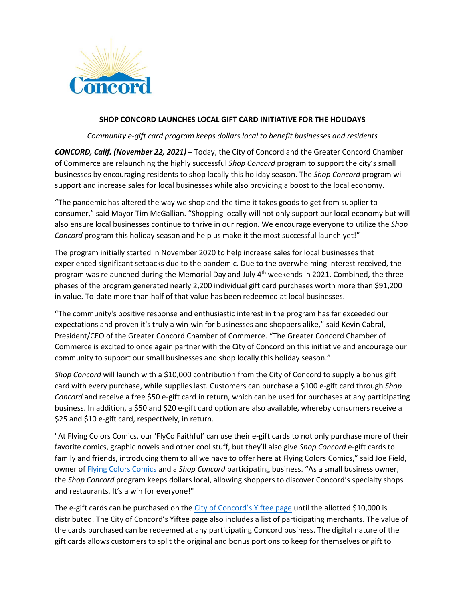

## **SHOP CONCORD LAUNCHES LOCAL GIFT CARD INITIATIVE FOR THE HOLIDAYS**

*Community e-gift card program keeps dollars local to benefit businesses and residents*

*CONCORD, Calif. (November 22, 2021)* – Today, the City of Concord and the Greater Concord Chamber of Commerce are relaunching the highly successful *Shop Concord* program to support the city's small businesses by encouraging residents to shop locally this holiday season. The *Shop Concord* program will support and increase sales for local businesses while also providing a boost to the local economy.

"The pandemic has altered the way we shop and the time it takes goods to get from supplier to consumer," said Mayor Tim McGallian. "Shopping locally will not only support our local economy but will also ensure local businesses continue to thrive in our region. We encourage everyone to utilize the *Shop Concord* program this holiday season and help us make it the most successful launch yet!"

The program initially started in November 2020 to help increase sales for local businesses that experienced significant setbacks due to the pandemic. Due to the overwhelming interest received, the program was relaunched during the Memorial Day and July  $4<sup>th</sup>$  weekends in 2021. Combined, the three phases of the program generated nearly 2,200 individual gift card purchases worth more than \$91,200 in value. To-date more than half of that value has been redeemed at local businesses.

"The community's positive response and enthusiastic interest in the program has far exceeded our expectations and proven it's truly a win-win for businesses and shoppers alike," said Kevin Cabral, President/CEO of the Greater Concord Chamber of Commerce. "The Greater Concord Chamber of Commerce is excited to once again partner with the City of Concord on this initiative and encourage our community to support our small businesses and shop locally this holiday season."

*Shop Concord* will launch with a \$10,000 contribution from the City of Concord to supply a bonus gift card with every purchase, while supplies last. Customers can purchase a \$100 e-gift card through *Shop Concord* and receive a free \$50 e-gift card in return, which can be used for purchases at any participating business. In addition, a \$50 and \$20 e-gift card option are also available, whereby consumers receive a \$25 and \$10 e-gift card, respectively, in return.

"At Flying Colors Comics, our 'FlyCo Faithful' can use their e-gift cards to not only purchase more of their favorite comics, graphic novels and other cool stuff, but they'll also give *Shop Concord* e-gift cards to family and friends, introducing them to all we have to offer here at Flying Colors Comics," said Joe Field, owner of [Flying Colors Comics](http://flyingcolorscomics.com/) and a *Shop Concord* participating business. "As a small business owner, the *Shop Concord* program keeps dollars local, allowing shoppers to discover Concord's specialty shops and restaurants. It's a win for everyone!"

The e-gift cards can be purchased on the [City of Concord's](https://app.yiftee.com/gift-card/concord) Yiftee page until the allotted \$10,000 is distributed. The City of Concord's Yiftee page also includes a list of participating merchants. The value of the cards purchased can be redeemed at any participating Concord business. The digital nature of the gift cards allows customers to split the original and bonus portions to keep for themselves or gift to